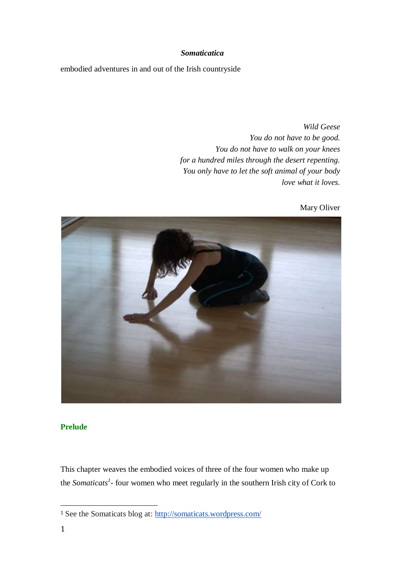## *Somaticatica*

embodied adventures in and out of the Irish countryside

*Wild Geese You do not have to be good. You do not have to walk on your knees for a hundred miles through the desert repenting. You only have to let the soft animal of your body love what it loves.* 

## Mary Oliver



# **Prelude**

This chapter weaves the embodied voices of three of the four women who make up the *Somaticats<sup>1</sup>* - four women who meet regularly in the southern Irish city of Cork to

l

<sup>1</sup> See the Somaticats blog at:<http://somaticats.wordpress.com/>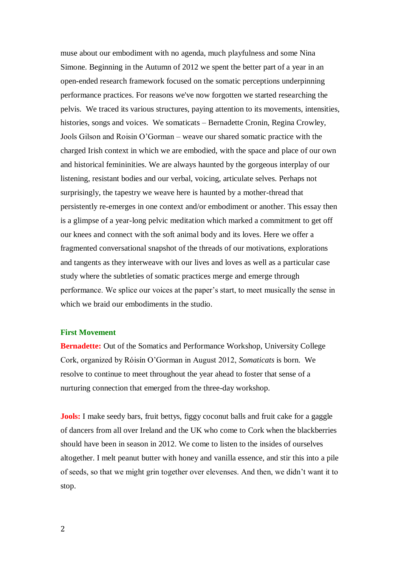muse about our embodiment with no agenda, much playfulness and some Nina Simone. Beginning in the Autumn of 2012 we spent the better part of a year in an open-ended research framework focused on the somatic perceptions underpinning performance practices. For reasons we've now forgotten we started researching the pelvis. We traced its various structures, paying attention to its movements, intensities, histories, songs and voices. We somaticats – Bernadette Cronin, Regina Crowley, Jools Gilson and Roisin O'Gorman – weave our shared somatic practice with the charged Irish context in which we are embodied, with the space and place of our own and historical femininities. We are always haunted by the gorgeous interplay of our listening, resistant bodies and our verbal, voicing, articulate selves. Perhaps not surprisingly, the tapestry we weave here is haunted by a mother-thread that persistently re-emerges in one context and/or embodiment or another. This essay then is a glimpse of a year-long pelvic meditation which marked a commitment to get off our knees and connect with the soft animal body and its loves. Here we offer a fragmented conversational snapshot of the threads of our motivations, explorations and tangents as they interweave with our lives and loves as well as a particular case study where the subtleties of somatic practices merge and emerge through performance. We splice our voices at the paper's start, to meet musically the sense in which we braid our embodiments in the studio.

#### **First Movement**

**Bernadette:** Out of the Somatics and Performance Workshop, University College Cork, organized by Róisín O'Gorman in August 2012, *Somaticats* is born. We resolve to continue to meet throughout the year ahead to foster that sense of a nurturing connection that emerged from the three-day workshop.

**Jools:** I make seedy bars, fruit bettys, figgy coconut balls and fruit cake for a gaggle of dancers from all over Ireland and the UK who come to Cork when the blackberries should have been in season in 2012. We come to listen to the insides of ourselves altogether. I melt peanut butter with honey and vanilla essence, and stir this into a pile of seeds, so that we might grin together over elevenses. And then, we didn't want it to stop.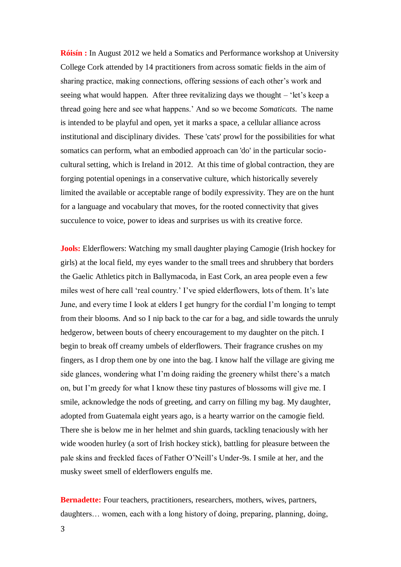**Róisín :** In August 2012 we held a Somatics and Performance workshop at University College Cork attended by 14 practitioners from across somatic fields in the aim of sharing practice, making connections, offering sessions of each other's work and seeing what would happen. After three revitalizing days we thought – 'let's keep a thread going here and see what happens.' And so we become *Somaticats*. The name is intended to be playful and open, yet it marks a space, a cellular alliance across institutional and disciplinary divides. These 'cats' prowl for the possibilities for what somatics can perform, what an embodied approach can 'do' in the particular sociocultural setting, which is Ireland in 2012. At this time of global contraction, they are forging potential openings in a conservative culture, which historically severely limited the available or acceptable range of bodily expressivity. They are on the hunt for a language and vocabulary that moves, for the rooted connectivity that gives succulence to voice, power to ideas and surprises us with its creative force.

**Jools:** Elderflowers: Watching my small daughter playing Camogie (Irish hockey for girls) at the local field, my eyes wander to the small trees and shrubbery that borders the Gaelic Athletics pitch in Ballymacoda, in East Cork, an area people even a few miles west of here call 'real country.' I've spied elderflowers, lots of them. It's late June, and every time I look at elders I get hungry for the cordial I'm longing to tempt from their blooms. And so I nip back to the car for a bag, and sidle towards the unruly hedgerow, between bouts of cheery encouragement to my daughter on the pitch. I begin to break off creamy umbels of elderflowers. Their fragrance crushes on my fingers, as I drop them one by one into the bag. I know half the village are giving me side glances, wondering what I'm doing raiding the greenery whilst there's a match on, but I'm greedy for what I know these tiny pastures of blossoms will give me. I smile, acknowledge the nods of greeting, and carry on filling my bag. My daughter, adopted from Guatemala eight years ago, is a hearty warrior on the camogie field. There she is below me in her helmet and shin guards, tackling tenaciously with her wide wooden hurley (a sort of Irish hockey stick), battling for pleasure between the pale skins and freckled faces of Father O'Neill's Under-9s. I smile at her, and the musky sweet smell of elderflowers engulfs me.

**Bernadette:** Four teachers, practitioners, researchers, mothers, wives, partners, daughters… women, each with a long history of doing, preparing, planning, doing,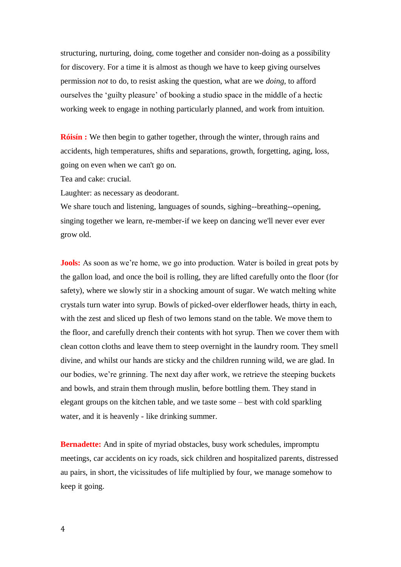structuring, nurturing, doing, come together and consider non-doing as a possibility for discovery. For a time it is almost as though we have to keep giving ourselves permission *not* to do, to resist asking the question, what are we *doing*, to afford ourselves the 'guilty pleasure' of booking a studio space in the middle of a hectic working week to engage in nothing particularly planned, and work from intuition.

**Róisín :** We then begin to gather together, through the winter, through rains and accidents, high temperatures, shifts and separations, growth, forgetting, aging, loss, going on even when we can't go on.

Tea and cake: crucial.

Laughter: as necessary as deodorant.

We share touch and listening, languages of sounds, sighing--breathing--opening, singing together we learn, re-member-if we keep on dancing we'll never ever ever grow old.

**Jools:** As soon as we're home, we go into production. Water is boiled in great pots by the gallon load, and once the boil is rolling, they are lifted carefully onto the floor (for safety), where we slowly stir in a shocking amount of sugar. We watch melting white crystals turn water into syrup. Bowls of picked-over elderflower heads, thirty in each, with the zest and sliced up flesh of two lemons stand on the table. We move them to the floor, and carefully drench their contents with hot syrup. Then we cover them with clean cotton cloths and leave them to steep overnight in the laundry room. They smell divine, and whilst our hands are sticky and the children running wild, we are glad. In our bodies, we're grinning. The next day after work, we retrieve the steeping buckets and bowls, and strain them through muslin, before bottling them. They stand in elegant groups on the kitchen table, and we taste some – best with cold sparkling water, and it is heavenly - like drinking summer.

**Bernadette:** And in spite of myriad obstacles, busy work schedules, impromptu meetings, car accidents on icy roads, sick children and hospitalized parents, distressed au pairs, in short, the vicissitudes of life multiplied by four, we manage somehow to keep it going.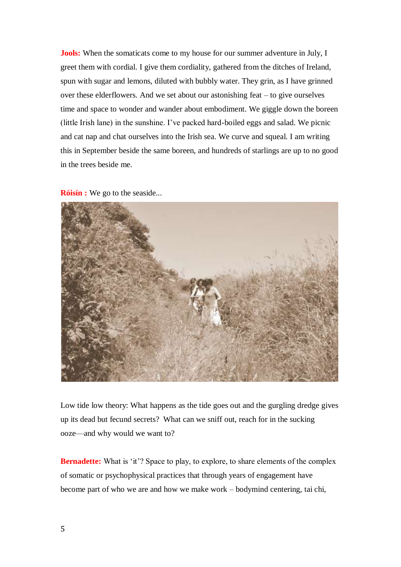**Jools:** When the somaticats come to my house for our summer adventure in July, I greet them with cordial. I give them cordiality, gathered from the ditches of Ireland, spun with sugar and lemons, diluted with bubbly water. They grin, as I have grinned over these elderflowers. And we set about our astonishing feat – to give ourselves time and space to wonder and wander about embodiment. We giggle down the boreen (little Irish lane) in the sunshine. I've packed hard-boiled eggs and salad. We picnic and cat nap and chat ourselves into the Irish sea. We curve and squeal. I am writing this in September beside the same boreen, and hundreds of starlings are up to no good in the trees beside me.





Low tide low theory: What happens as the tide goes out and the gurgling dredge gives up its dead but fecund secrets? What can we sniff out, reach for in the sucking ooze—and why would we want to?

**Bernadette:** What is 'it'? Space to play, to explore, to share elements of the complex of somatic or psychophysical practices that through years of engagement have become part of who we are and how we make work – bodymind centering, tai chi,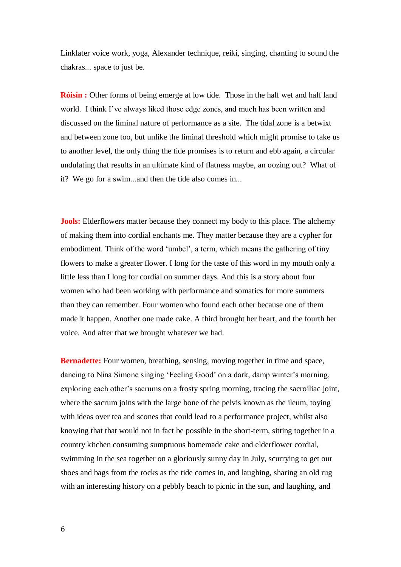Linklater voice work, yoga, Alexander technique, reiki, singing, chanting to sound the chakras... space to just be.

**Róisín :** Other forms of being emerge at low tide. Those in the half wet and half land world. I think I've always liked those edge zones, and much has been written and discussed on the liminal nature of performance as a site. The tidal zone is a betwixt and between zone too, but unlike the liminal threshold which might promise to take us to another level, the only thing the tide promises is to return and ebb again, a circular undulating that results in an ultimate kind of flatness maybe, an oozing out? What of it? We go for a swim...and then the tide also comes in...

**Jools:** Elderflowers matter because they connect my body to this place. The alchemy of making them into cordial enchants me. They matter because they are a cypher for embodiment. Think of the word 'umbel', a term, which means the gathering of tiny flowers to make a greater flower. I long for the taste of this word in my mouth only a little less than I long for cordial on summer days. And this is a story about four women who had been working with performance and somatics for more summers than they can remember. Four women who found each other because one of them made it happen. Another one made cake. A third brought her heart, and the fourth her voice. And after that we brought whatever we had.

**Bernadette:** Four women, breathing, sensing, moving together in time and space, dancing to Nina Simone singing 'Feeling Good' on a dark, damp winter's morning, exploring each other's sacrums on a frosty spring morning, tracing the sacroiliac joint, where the sacrum joins with the large bone of the pelvis known as the ileum, toying with ideas over tea and scones that could lead to a performance project, whilst also knowing that that would not in fact be possible in the short-term, sitting together in a country kitchen consuming sumptuous homemade cake and elderflower cordial, swimming in the sea together on a gloriously sunny day in July, scurrying to get our shoes and bags from the rocks as the tide comes in, and laughing, sharing an old rug with an interesting history on a pebbly beach to picnic in the sun, and laughing, and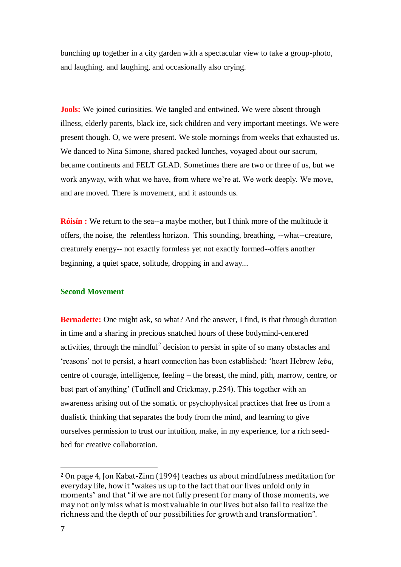bunching up together in a city garden with a spectacular view to take a group-photo, and laughing, and laughing, and occasionally also crying.

**Jools:** We joined curiosities. We tangled and entwined. We were absent through illness, elderly parents, black ice, sick children and very important meetings. We were present though. O, we were present. We stole mornings from weeks that exhausted us. We danced to Nina Simone, shared packed lunches, voyaged about our sacrum, became continents and FELT GLAD. Sometimes there are two or three of us, but we work anyway, with what we have, from where we're at. We work deeply. We move, and are moved. There is movement, and it astounds us.

**Róisín :** We return to the sea--a maybe mother, but I think more of the multitude it offers, the noise, the relentless horizon. This sounding, breathing, --what--creature, creaturely energy-- not exactly formless yet not exactly formed--offers another beginning, a quiet space, solitude, dropping in and away...

### **Second Movement**

**Bernadette:** One might ask, so what? And the answer, I find, is that through duration in time and a sharing in precious snatched hours of these bodymind-centered activities, through the mindful<sup>2</sup> decision to persist in spite of so many obstacles and 'reasons' not to persist, a heart connection has been established: 'heart Hebrew *leba,* centre of courage, intelligence, feeling – the breast, the mind, pith, marrow, centre, or best part of anything' (Tuffnell and Crickmay, p.254). This together with an awareness arising out of the somatic or psychophysical practices that free us from a dualistic thinking that separates the body from the mind, and learning to give ourselves permission to trust our intuition, make, in my experience, for a rich seedbed for creative collaboration.

l

<sup>2</sup> On page 4, Jon Kabat-Zinn (1994) teaches us about mindfulness meditation for everyday life, how it "wakes us up to the fact that our lives unfold only in moments" and that "if we are not fully present for many of those moments, we may not only miss what is most valuable in our lives but also fail to realize the richness and the depth of our possibilities for growth and transformation".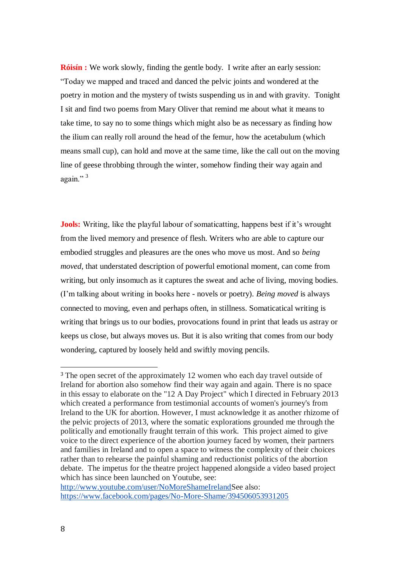**Róisín :** We work slowly, finding the gentle body. I write after an early session: "Today we mapped and traced and danced the pelvic joints and wondered at the poetry in motion and the mystery of twists suspending us in and with gravity. Tonight I sit and find two poems from Mary Oliver that remind me about what it means to take time, to say no to some things which might also be as necessary as finding how the ilium can really roll around the head of the femur, how the acetabulum (which means small cup), can hold and move at the same time, like the call out on the moving line of geese throbbing through the winter, somehow finding their way again and again."<sup>3</sup>

**Jools:** Writing, like the playful labour of somaticatting, happens best if it's wrought from the lived memory and presence of flesh. Writers who are able to capture our embodied struggles and pleasures are the ones who move us most. And so *being moved*, that understated description of powerful emotional moment, can come from writing, but only insomuch as it captures the sweat and ache of living, moving bodies. (I'm talking about writing in books here - novels or poetry). *Being moved* is always connected to moving, even and perhaps often, in stillness. Somaticatical writing is writing that brings us to our bodies, provocations found in print that leads us astray or keeps us close, but always moves us. But it is also writing that comes from our body wondering, captured by loosely held and swiftly moving pencils.

[http://www.youtube.com/user/NoMoreShameIrelandS](http://www.youtube.com/user/NoMoreShameIreland)ee also: <https://www.facebook.com/pages/No-More-Shame/394506053931205>

 $\overline{a}$ 

<sup>3</sup> The open secret of the approximately 12 women who each day travel outside of Ireland for abortion also somehow find their way again and again. There is no space in this essay to elaborate on the "12 A Day Project" which I directed in February 2013 which created a performance from testimonial accounts of women's journey's from Ireland to the UK for abortion. However, I must acknowledge it as another rhizome of the pelvic projects of 2013, where the somatic explorations grounded me through the politically and emotionally fraught terrain of this work. This project aimed to give voice to the direct experience of the abortion journey faced by women, their partners and families in Ireland and to open a space to witness the complexity of their choices rather than to rehearse the painful shaming and reductionist politics of the abortion debate. The impetus for the theatre project happened alongside a video based project which has since been launched on Youtube, see: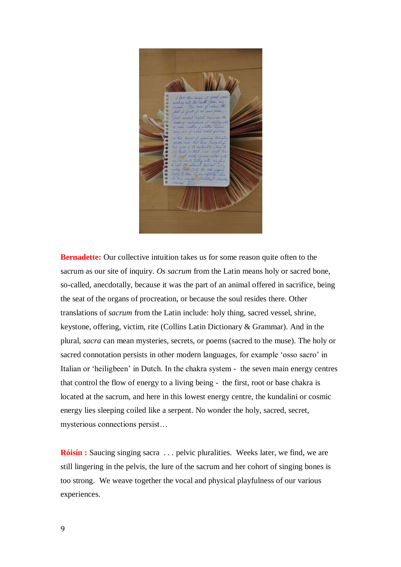

**Bernadette:** Our collective intuition takes us for some reason quite often to the sacrum as our site of inquiry. *Os sacrum* from the Latin means holy or sacred bone, so-called, anecdotally, because it was the part of an animal offered in sacrifice, being the seat of the organs of procreation, or because the soul resides there. Other translations of *sacrum* from the Latin include: holy thing, sacred vessel, shrine, keystone, offering, victim, rite (Collins Latin Dictionary & Grammar). And in the plural, *sacra* can mean mysteries, secrets, or poems (sacred to the muse). The holy or sacred connotation persists in other modern languages, for example 'osso sacro' in Italian or 'heiligbeen' in Dutch. In the chakra system - the seven main energy centres that control the flow of energy to a living being - the first, root or base chakra is located at the sacrum, and here in this lowest energy centre, the kundalini or cosmic energy lies sleeping coiled like a serpent. No wonder the holy, sacred, secret, mysterious connections persist…

**Róisín :** Saucing singing sacra . . . pelvic pluralities. Weeks later, we find, we are still lingering in the pelvis, the lure of the sacrum and her cohort of singing bones is too strong. We weave together the vocal and physical playfulness of our various experiences.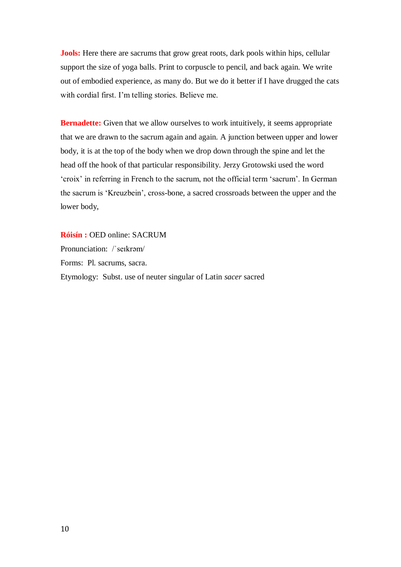**Jools:** Here there are sacrums that grow great roots, dark pools within hips, cellular support the size of yoga balls. Print to corpuscle to pencil, and back again. We write out of embodied experience, as many do. But we do it better if I have drugged the cats with cordial first. I'm telling stories. Believe me.

**Bernadette:** Given that we allow ourselves to work intuitively, it seems appropriate that we are drawn to the sacrum again and again. A junction between upper and lower body, it is at the top of the body when we drop down through the spine and let the head off the hook of that particular responsibility. Jerzy Grotowski used the word 'croix' in referring in French to the sacrum, not the official term 'sacrum'. In German the sacrum is 'Kreuzbein', cross-bone, a sacred crossroads between the upper and the lower body,

**Róisín :** OED online: SACRUM Pronunciation: /ˈseɪkrəm/ Forms: Pl. sacrums, sacra. Etymology: Subst. use of neuter singular of Latin *sacer* sacred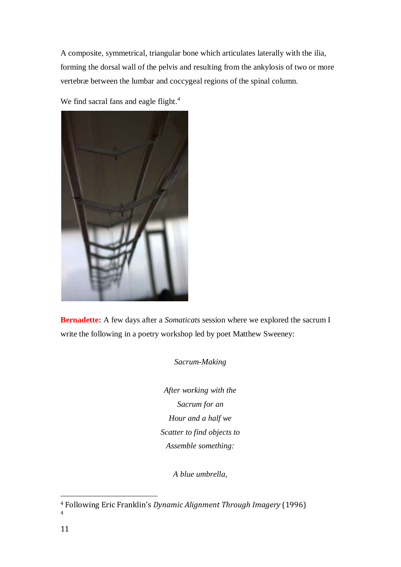A composite, symmetrical, triangular bone which articulates laterally with the ilia, forming the dorsal wall of the pelvis and resulting from the ankylosis of two or more vertebræ between the lumbar and coccygeal regions of the spinal column.

We find sacral fans and eagle flight.<sup>4</sup>



**Bernadette:** A few days after a *Somaticats* session where we explored the sacrum I write the following in a poetry workshop led by poet Matthew Sweeney:

*Sacrum-Making*

*After working with the Sacrum for an Hour and a half we Scatter to find objects to Assemble something:*

*A blue umbrella,*

 $\overline{a}$ 

<sup>4</sup> Following Eric Franklin's *Dynamic Alignment Through Imagery* (1996) 4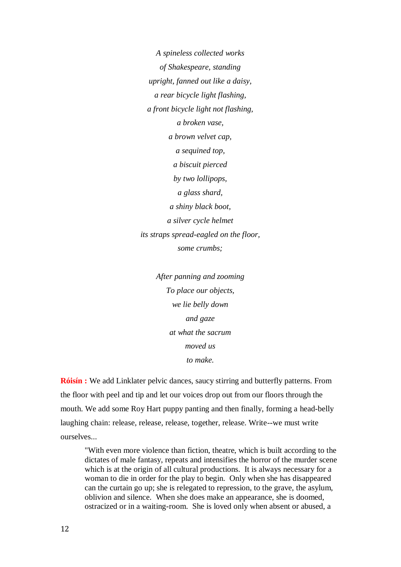*A spineless collected works of Shakespeare, standing upright, fanned out like a daisy, a rear bicycle light flashing, a front bicycle light not flashing, a broken vase, a brown velvet cap, a sequined top, a biscuit pierced by two lollipops, a glass shard, a shiny black boot, a silver cycle helmet its straps spread-eagled on the floor, some crumbs;*

> *After panning and zooming To place our objects, we lie belly down and gaze at what the sacrum moved us to make.*

**Róisín :** We add Linklater pelvic dances, saucy stirring and butterfly patterns. From the floor with peel and tip and let our voices drop out from our floors through the mouth. We add some Roy Hart puppy panting and then finally, forming a head-belly laughing chain: release, release, release, together, release. Write--we must write ourselves...

"With even more violence than fiction, theatre, which is built according to the dictates of male fantasy, repeats and intensifies the horror of the murder scene which is at the origin of all cultural productions. It is always necessary for a woman to die in order for the play to begin. Only when she has disappeared can the curtain go up; she is relegated to repression, to the grave, the asylum, oblivion and silence. When she does make an appearance, she is doomed, ostracized or in a waiting-room. She is loved only when absent or abused, a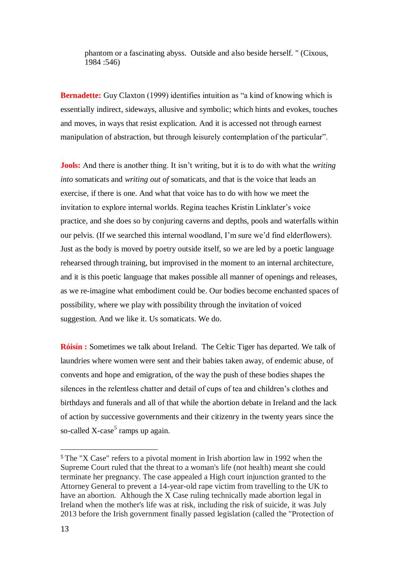phantom or a fascinating abyss. Outside and also beside herself. " (Cixous, 1984 :546)

**Bernadette:** Guy Claxton (1999) identifies intuition as "a kind of knowing which is essentially indirect, sideways, allusive and symbolic; which hints and evokes, touches and moves, in ways that resist explication. And it is accessed not through earnest manipulation of abstraction, but through leisurely contemplation of the particular".

**Jools:** And there is another thing. It isn't writing, but it is to do with what the *writing into* somaticats and *writing out of* somaticats, and that is the voice that leads an exercise, if there is one. And what that voice has to do with how we meet the invitation to explore internal worlds. Regina teaches Kristin Linklater's voice practice, and she does so by conjuring caverns and depths, pools and waterfalls within our pelvis. (If we searched this internal woodland, I'm sure we'd find elderflowers). Just as the body is moved by poetry outside itself, so we are led by a poetic language rehearsed through training, but improvised in the moment to an internal architecture, and it is this poetic language that makes possible all manner of openings and releases, as we re-imagine what embodiment could be. Our bodies become enchanted spaces of possibility, where we play with possibility through the invitation of voiced suggestion. And we like it. Us somaticats. We do.

**Róisín :** Sometimes we talk about Ireland. The Celtic Tiger has departed. We talk of laundries where women were sent and their babies taken away, of endemic abuse, of convents and hope and emigration, of the way the push of these bodies shapes the silences in the relentless chatter and detail of cups of tea and children's clothes and birthdays and funerals and all of that while the abortion debate in Ireland and the lack of action by successive governments and their citizenry in the twenty years since the so-called X-case<sup>5</sup> ramps up again.

l

<sup>5</sup> The "X Case" refers to a pivotal moment in Irish abortion law in 1992 when the Supreme Court ruled that the threat to a woman's life (not health) meant she could terminate her pregnancy. The case appealed a High court injunction granted to the Attorney General to prevent a 14-year-old rape victim from travelling to the UK to have an abortion. Although the X Case ruling technically made abortion legal in Ireland when the mother's life was at risk, including the risk of suicide, it was July 2013 before the Irish government finally passed legislation (called the "Protection of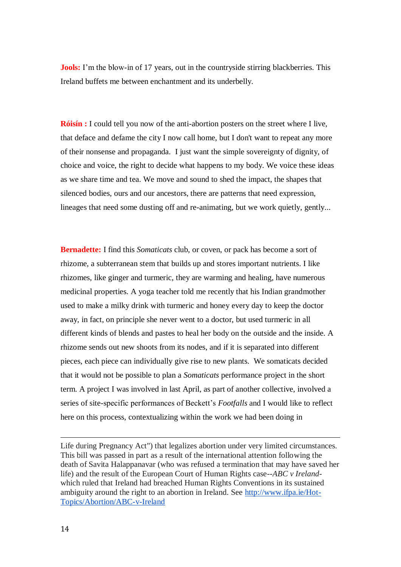**Jools:** I'm the blow-in of 17 years, out in the countryside stirring blackberries. This Ireland buffets me between enchantment and its underbelly.

**Róisín :** I could tell you now of the anti-abortion posters on the street where I live, that deface and defame the city I now call home, but I don't want to repeat any more of their nonsense and propaganda. I just want the simple sovereignty of dignity, of choice and voice, the right to decide what happens to my body. We voice these ideas as we share time and tea. We move and sound to shed the impact, the shapes that silenced bodies, ours and our ancestors, there are patterns that need expression, lineages that need some dusting off and re-animating, but we work quietly, gently...

**Bernadette:** I find this *Somaticats* club, or coven, or pack has become a sort of rhizome, a subterranean stem that builds up and stores important nutrients. I like rhizomes, like ginger and turmeric, they are warming and healing, have numerous medicinal properties. A yoga teacher told me recently that his Indian grandmother used to make a milky drink with turmeric and honey every day to keep the doctor away, in fact, on principle she never went to a doctor, but used turmeric in all different kinds of blends and pastes to heal her body on the outside and the inside. A rhizome sends out new shoots from its nodes, and if it is separated into different pieces, each piece can individually give rise to new plants. We somaticats decided that it would not be possible to plan a *Somaticats* performance project in the short term. A project I was involved in last April, as part of another collective, involved a series of site-specific performances of Beckett's *Footfalls* and I would like to reflect here on this process, contextualizing within the work we had been doing in

<u>.</u>

Life during Pregnancy Act") that legalizes abortion under very limited circumstances. This bill was passed in part as a result of the international attention following the death of Savita Halappanavar (who was refused a termination that may have saved her life) and the result of the European Court of Human Rights case--*ABC v Ireland*which ruled that Ireland had breached Human Rights Conventions in its sustained ambiguity around the right to an abortion in Ireland. See [http://www.ifpa.ie/Hot-](http://www.ifpa.ie/Hot-Topics/Abortion/ABC-v-Ireland)[Topics/Abortion/ABC-v-Ireland](http://www.ifpa.ie/Hot-Topics/Abortion/ABC-v-Ireland)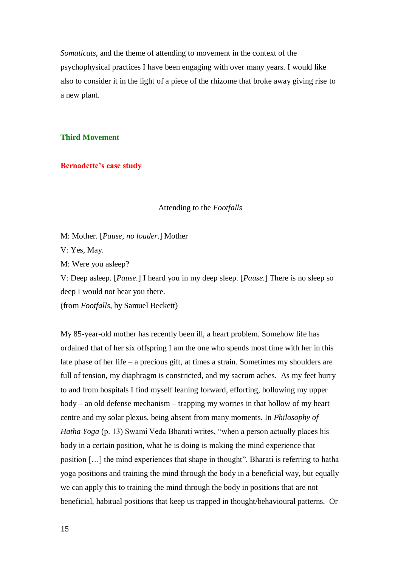*Somaticats*, and the theme of attending to movement in the context of the psychophysical practices I have been engaging with over many years. I would like also to consider it in the light of a piece of the rhizome that broke away giving rise to a new plant.

### **Third Movement**

#### **Bernadette's case study**

#### Attending to the *Footfalls*

M: Mother. [*Pause, no louder*.] Mother

V: Yes, May.

M: Were you asleep?

V: Deep asleep. [*Pause.*] I heard you in my deep sleep. [*Pause.*] There is no sleep so deep I would not hear you there.

(from *Footfalls*, by Samuel Beckett)

My 85-year-old mother has recently been ill, a heart problem. Somehow life has ordained that of her six offspring I am the one who spends most time with her in this late phase of her life – a precious gift, at times a strain. Sometimes my shoulders are full of tension, my diaphragm is constricted, and my sacrum aches. As my feet hurry to and from hospitals I find myself leaning forward, efforting, hollowing my upper body – an old defense mechanism – trapping my worries in that hollow of my heart centre and my solar plexus, being absent from many moments. In *Philosophy of Hatha Yoga* (p. 13) Swami Veda Bharati writes, "when a person actually places his body in a certain position, what he is doing is making the mind experience that position […] the mind experiences that shape in thought". Bharati is referring to hatha yoga positions and training the mind through the body in a beneficial way, but equally we can apply this to training the mind through the body in positions that are not beneficial, habitual positions that keep us trapped in thought/behavioural patterns. Or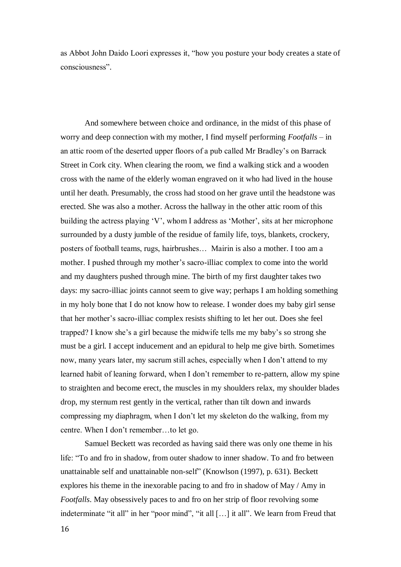as Abbot John Daido Loori expresses it, "how you posture your body creates a state of consciousness".

And somewhere between choice and ordinance, in the midst of this phase of worry and deep connection with my mother, I find myself performing *Footfalls* – in an attic room of the deserted upper floors of a pub called Mr Bradley's on Barrack Street in Cork city. When clearing the room, we find a walking stick and a wooden cross with the name of the elderly woman engraved on it who had lived in the house until her death. Presumably, the cross had stood on her grave until the headstone was erected. She was also a mother. Across the hallway in the other attic room of this building the actress playing 'V', whom I address as 'Mother', sits at her microphone surrounded by a dusty jumble of the residue of family life, toys, blankets, crockery, posters of football teams, rugs, hairbrushes… Mairin is also a mother. I too am a mother. I pushed through my mother's sacro-illiac complex to come into the world and my daughters pushed through mine. The birth of my first daughter takes two days: my sacro-illiac joints cannot seem to give way; perhaps I am holding something in my holy bone that I do not know how to release. I wonder does my baby girl sense that her mother's sacro-illiac complex resists shifting to let her out. Does she feel trapped? I know she's a girl because the midwife tells me my baby's so strong she must be a girl. I accept inducement and an epidural to help me give birth. Sometimes now, many years later, my sacrum still aches, especially when I don't attend to my learned habit of leaning forward, when I don't remember to re-pattern, allow my spine to straighten and become erect, the muscles in my shoulders relax, my shoulder blades drop, my sternum rest gently in the vertical, rather than tilt down and inwards compressing my diaphragm, when I don't let my skeleton do the walking, from my centre. When I don't remember…to let go.

Samuel Beckett was recorded as having said there was only one theme in his life: "To and fro in shadow, from outer shadow to inner shadow. To and fro between unattainable self and unattainable non-self" (Knowlson (1997), p. 631). Beckett explores his theme in the inexorable pacing to and fro in shadow of May / Amy in *Footfalls*. May obsessively paces to and fro on her strip of floor revolving some indeterminate "it all" in her "poor mind", "it all […] it all". We learn from Freud that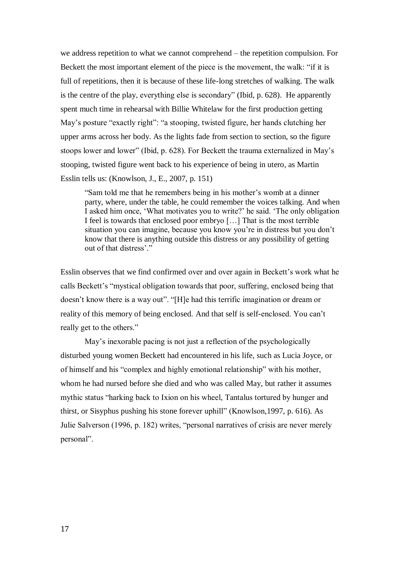we address repetition to what we cannot comprehend – the repetition compulsion. For Beckett the most important element of the piece is the movement, the walk: "if it is full of repetitions, then it is because of these life-long stretches of walking. The walk is the centre of the play, everything else is secondary" (Ibid, p. 628). He apparently spent much time in rehearsal with Billie Whitelaw for the first production getting May's posture "exactly right": "a stooping, twisted figure, her hands clutching her upper arms across her body. As the lights fade from section to section, so the figure stoops lower and lower" (Ibid, p. 628). For Beckett the trauma externalized in May's stooping, twisted figure went back to his experience of being in utero, as Martin Esslin tells us: (Knowlson, J., E., 2007, p. 151)

"Sam told me that he remembers being in his mother's womb at a dinner party, where, under the table, he could remember the voices talking. And when I asked him once, 'What motivates you to write?' he said. 'The only obligation I feel is towards that enclosed poor embryo […] That is the most terrible situation you can imagine, because you know you're in distress but you don't know that there is anything outside this distress or any possibility of getting out of that distress'"

Esslin observes that we find confirmed over and over again in Beckett's work what he calls Beckett's "mystical obligation towards that poor, suffering, enclosed being that doesn't know there is a way out". "[H]e had this terrific imagination or dream or reality of this memory of being enclosed. And that self is self-enclosed. You can't really get to the others."

May's inexorable pacing is not just a reflection of the psychologically disturbed young women Beckett had encountered in his life, such as Lucia Joyce, or of himself and his "complex and highly emotional relationship" with his mother, whom he had nursed before she died and who was called May, but rather it assumes mythic status "harking back to Ixion on his wheel, Tantalus tortured by hunger and thirst, or Sisyphus pushing his stone forever uphill" (Knowlson,1997, p. 616). As Julie Salverson (1996, p. 182) writes, "personal narratives of crisis are never merely personal".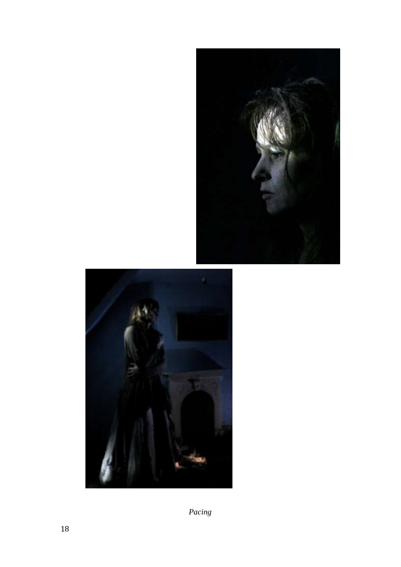



*Pacing*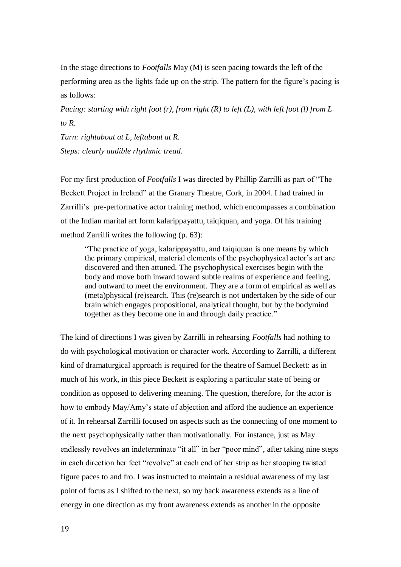In the stage directions to *Footfalls* May (M) is seen pacing towards the left of the performing area as the lights fade up on the strip. The pattern for the figure's pacing is as follows:

*Pacing: starting with right foot (r), from right (R) to left (L), with left foot (l) from L to R.*

*Turn: rightabout at L, leftabout at R. Steps: clearly audible rhythmic tread.*

For my first production of *Footfalls* I was directed by Phillip Zarrilli as part of "The Beckett Project in Ireland" at the Granary Theatre, Cork, in 2004. I had trained in Zarrilli's pre-performative actor training method, which encompasses a combination of the Indian marital art form kalarippayattu, taiqiquan, and yoga. Of his training method Zarrilli writes the following (p. 63):

"The practice of yoga, kalarippayattu, and taiqiquan is one means by which the primary empirical, material elements of the psychophysical actor's art are discovered and then attuned. The psychophysical exercises begin with the body and move both inward toward subtle realms of experience and feeling, and outward to meet the environment. They are a form of empirical as well as (meta)physical (re)search. This (re)search is not undertaken by the side of our brain which engages propositional, analytical thought, but by the bodymind together as they become one in and through daily practice."

The kind of directions I was given by Zarrilli in rehearsing *Footfalls* had nothing to do with psychological motivation or character work. According to Zarrilli, a different kind of dramaturgical approach is required for the theatre of Samuel Beckett: as in much of his work, in this piece Beckett is exploring a particular state of being or condition as opposed to delivering meaning. The question, therefore, for the actor is how to embody May/Amy's state of abjection and afford the audience an experience of it. In rehearsal Zarrilli focused on aspects such as the connecting of one moment to the next psychophysically rather than motivationally. For instance, just as May endlessly revolves an indeterminate "it all" in her "poor mind", after taking nine steps in each direction her feet "revolve" at each end of her strip as her stooping twisted figure paces to and fro. I was instructed to maintain a residual awareness of my last point of focus as I shifted to the next, so my back awareness extends as a line of energy in one direction as my front awareness extends as another in the opposite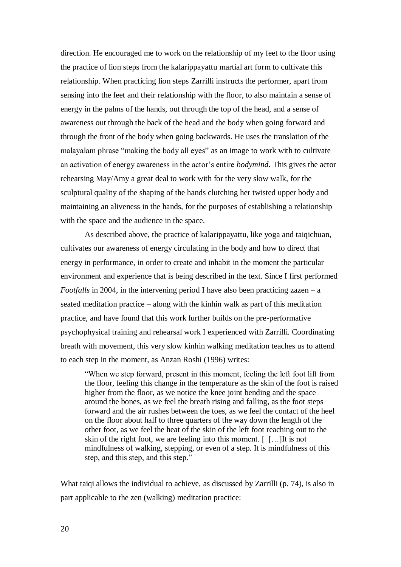direction. He encouraged me to work on the relationship of my feet to the floor using the practice of lion steps from the kalarippayattu martial art form to cultivate this relationship. When practicing lion steps Zarrilli instructs the performer, apart from sensing into the feet and their relationship with the floor, to also maintain a sense of energy in the palms of the hands, out through the top of the head, and a sense of awareness out through the back of the head and the body when going forward and through the front of the body when going backwards. He uses the translation of the malayalam phrase "making the body all eyes" as an image to work with to cultivate an activation of energy awareness in the actor's entire *bodymind*. This gives the actor rehearsing May/Amy a great deal to work with for the very slow walk, for the sculptural quality of the shaping of the hands clutching her twisted upper body and maintaining an aliveness in the hands, for the purposes of establishing a relationship with the space and the audience in the space.

As described above, the practice of kalarippayattu, like yoga and taiqichuan, cultivates our awareness of energy circulating in the body and how to direct that energy in performance, in order to create and inhabit in the moment the particular environment and experience that is being described in the text. Since I first performed *Footfalls* in 2004, in the intervening period I have also been practicing zazen – a seated meditation practice – along with the kinhin walk as part of this meditation practice, and have found that this work further builds on the pre-performative psychophysical training and rehearsal work I experienced with Zarrilli. Coordinating breath with movement, this very slow kinhin walking meditation teaches us to attend to each step in the moment, as Anzan Roshi (1996) writes:

"When we step forward, present in this moment, feeling the left foot lift from the floor, feeling this change in the temperature as the skin of the foot is raised higher from the floor, as we notice the knee joint bending and the space around the bones, as we feel the breath rising and falling, as the foot steps forward and the air rushes between the toes, as we feel the contact of the heel on the floor about half to three quarters of the way down the length of the other foot, as we feel the heat of the skin of the left foot reaching out to the skin of the right foot, we are feeling into this moment. [ […]It is not mindfulness of walking, stepping, or even of a step. It is mindfulness of this step, and this step, and this step."

What taiqi allows the individual to achieve, as discussed by Zarrilli (p. 74), is also in part applicable to the zen (walking) meditation practice: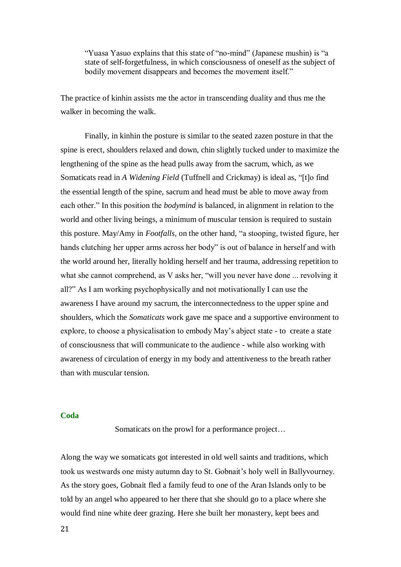"Yuasa Yasuo explains that this state of "no-mind" (Japanese mushin) is "a state of self-forgetfulness, in which consciousness of oneself as the subject of bodily movement disappears and becomes the movement itself."

The practice of kinhin assists me the actor in transcending duality and thus me the walker in becoming the walk.

Finally, in kinhin the posture is similar to the seated zazen posture in that the spine is erect, shoulders relaxed and down, chin slightly tucked under to maximize the lengthening of the spine as the head pulls away from the sacrum, which, as we Somaticats read in *A Widening Field* (Tuffnell and Crickmay) is ideal as, "[t]o find the essential length of the spine, sacrum and head must be able to move away from each other." In this position the *bodymind* is balanced, in alignment in relation to the world and other living beings, a minimum of muscular tension is required to sustain this posture. May/Amy in *Footfalls,* on the other hand, "a stooping, twisted figure, her hands clutching her upper arms across her body" is out of balance in herself and with the world around her, literally holding herself and her trauma, addressing repetition to what she cannot comprehend, as V asks her, "will you never have done ... revolving it all?" As I am working psychophysically and not motivationally I can use the awareness I have around my sacrum, the interconnectedness to the upper spine and shoulders, which the *Somaticats* work gave me space and a supportive environment to explore, to choose a physicalisation to embody May's abject state - to create a state of consciousness that will communicate to the audience - while also working with awareness of circulation of energy in my body and attentiveness to the breath rather than with muscular tension.

#### **Coda**

Somaticats on the prowl for a performance project…

Along the way we somaticats got interested in old well saints and traditions, which took us westwards one misty autumn day to St. Gobnait's holy well in Ballyvourney. As the story goes, Gobnait fled a family feud to one of the Aran Islands only to be told by an angel who appeared to her there that she should go to a place where she would find nine white deer grazing. Here she built her monastery, kept bees and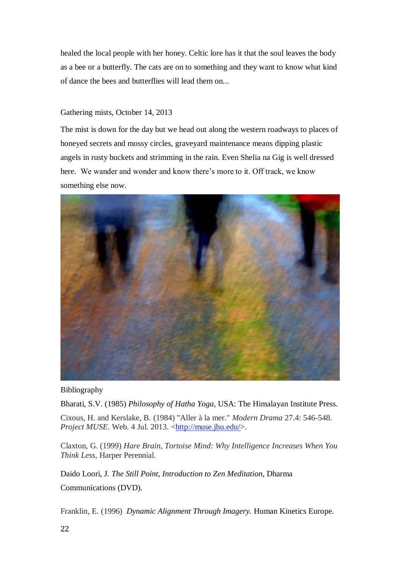healed the local people with her honey. Celtic lore has it that the soul leaves the body as a bee or a butterfly. The cats are on to something and they want to know what kind of dance the bees and butterflies will lead them on...

## Gathering mists, [October 14, 2013](http://somaticats.wordpress.com/2013/10/14/gathering-mists/)

The mist is down for the day but we head out along the western roadways to places of honeyed secrets and mossy circles, graveyard maintenance means dipping plastic angels in rusty buckets and strimming in the rain. Even Shelia na Gig is well dressed here. We wander and wonder and know there's more to it. Off track, we know something else now.



Bibliography

Bharati, S.V. (1985) *Philosophy of Hatha Yoga*, USA: The Himalayan Institute Press.

Cixous, H. and Kerslake, B. (1984) "Aller à la mer." *Modern Drama* 27.4: 546-548. *Project MUSE*. Web. 4 Jul. 2013. [<http://muse.jhu.edu/>](http://muse.jhu.edu/).

Claxton, G. (1999) *Hare Brain, Tortoise Mind: Why Intelligence Increases When You Think Less*, Harper Perennial.

Daido Loori, J. *The Still Point, Introduction to Zen Meditation*, Dharma Communications (DVD).

Franklin, E. (1996) *Dynamic Alignment Through Imagery.* Human Kinetics Europe.